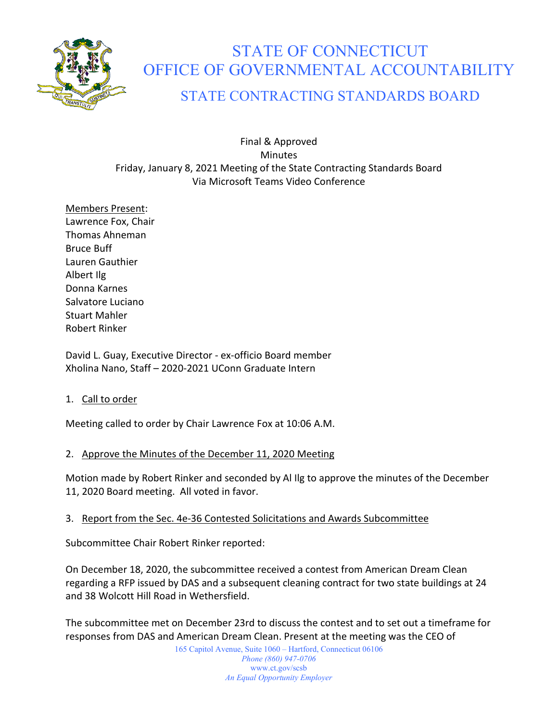

# STATE OF CONNECTICUT OFFICE OF GOVERNMENTAL ACCOUNTABILITY

# STATE CONTRACTING STANDARDS BOARD

Final & Approved Minutes Friday, January 8, 2021 Meeting of the State Contracting Standards Board Via Microsoft Teams Video Conference

Members Present: Lawrence Fox, Chair Thomas Ahneman Bruce Buff Lauren Gauthier Albert Ilg Donna Karnes Salvatore Luciano Stuart Mahler Robert Rinker

David L. Guay, Executive Director - ex-officio Board member Xholina Nano, Staff – 2020-2021 UConn Graduate Intern

1. Call to order

Meeting called to order by Chair Lawrence Fox at 10:06 A.M.

#### 2. Approve the Minutes of the December 11, 2020 Meeting

Motion made by Robert Rinker and seconded by Al Ilg to approve the minutes of the December 11, 2020 Board meeting. All voted in favor.

#### 3. Report from the Sec. 4e-36 Contested Solicitations and Awards Subcommittee

Subcommittee Chair Robert Rinker reported:

On December 18, 2020, the subcommittee received a contest from American Dream Clean regarding a RFP issued by DAS and a subsequent cleaning contract for two state buildings at 24 and 38 Wolcott Hill Road in Wethersfield.

The subcommittee met on December 23rd to discuss the contest and to set out a timeframe for responses from DAS and American Dream Clean. Present at the meeting was the CEO of

> 165 Capitol Avenue, Suite 1060 – Hartford, Connecticut 06106 *Phone (860) 947-0706*  www.ct.gov/scsb *An Equal Opportunity Employer*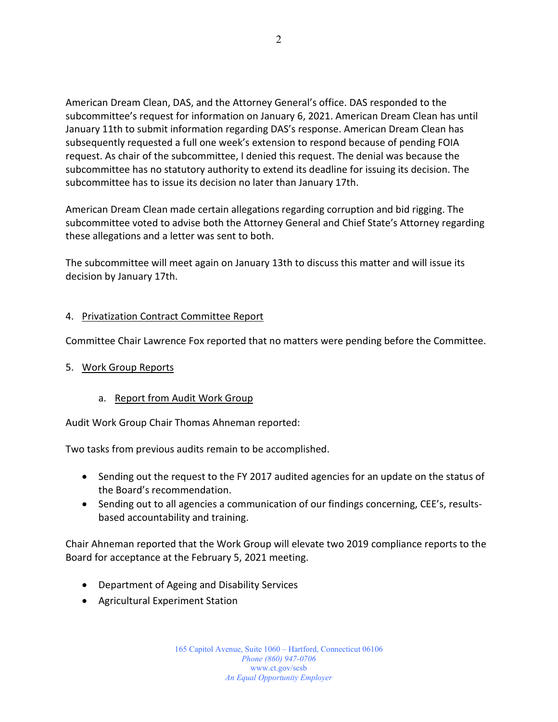American Dream Clean, DAS, and the Attorney General's office. DAS responded to the subcommittee's request for information on January 6, 2021. American Dream Clean has until January 11th to submit information regarding DAS's response. American Dream Clean has subsequently requested a full one week's extension to respond because of pending FOIA request. As chair of the subcommittee, I denied this request. The denial was because the subcommittee has no statutory authority to extend its deadline for issuing its decision. The subcommittee has to issue its decision no later than January 17th.

American Dream Clean made certain allegations regarding corruption and bid rigging. The subcommittee voted to advise both the Attorney General and Chief State's Attorney regarding these allegations and a letter was sent to both.

The subcommittee will meet again on January 13th to discuss this matter and will issue its decision by January 17th.

#### 4. Privatization Contract Committee Report

Committee Chair Lawrence Fox reported that no matters were pending before the Committee.

#### 5. Work Group Reports

#### a. Report from Audit Work Group

Audit Work Group Chair Thomas Ahneman reported:

Two tasks from previous audits remain to be accomplished.

- Sending out the request to the FY 2017 audited agencies for an update on the status of the Board's recommendation.
- Sending out to all agencies a communication of our findings concerning, CEE's, resultsbased accountability and training.

Chair Ahneman reported that the Work Group will elevate two 2019 compliance reports to the Board for acceptance at the February 5, 2021 meeting.

- Department of Ageing and Disability Services
- Agricultural Experiment Station

165 Capitol Avenue, Suite 1060 – Hartford, Connecticut 06106 *Phone (860) 947-0706*  www.ct.gov/scsb *An Equal Opportunity Employer*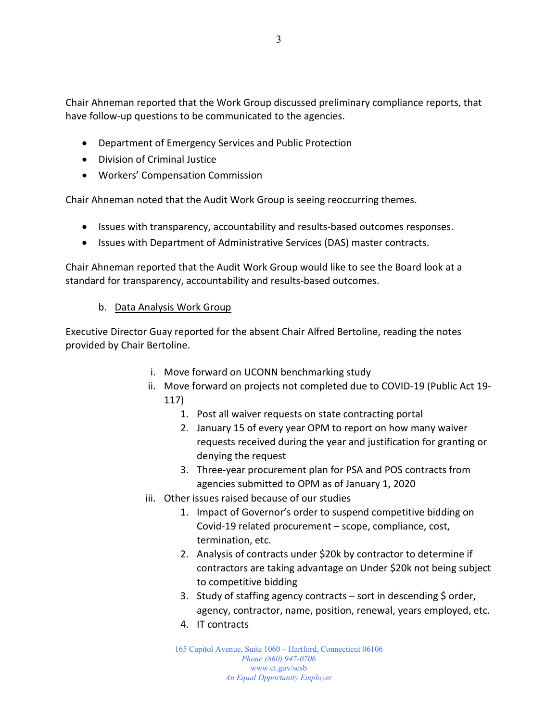Chair Ahneman reported that the Work Group discussed preliminary compliance reports, that have follow-up questions to be communicated to the agencies.

- Department of Emergency Services and Public Protection
- Division of Criminal Justice
- Workers' Compensation Commission

Chair Ahneman noted that the Audit Work Group is seeing reoccurring themes.

- Issues with transparency, accountability and results-based outcomes responses.
- Issues with Department of Administrative Services (DAS) master contracts.

Chair Ahneman reported that the Audit Work Group would like to see the Board look at a standard for transparency, accountability and results-based outcomes.

#### b. Data Analysis Work Group

Executive Director Guay reported for the absent Chair Alfred Bertoline, reading the notes provided by Chair Bertoline.

- i. Move forward on UCONN benchmarking study
- ii. Move forward on projects not completed due to COVID-19 (Public Act 19- 117)
	- 1. Post all waiver requests on state contracting portal
	- 2. January 15 of every year OPM to report on how many waiver requests received during the year and justification for granting or denying the request
	- 3. Three-year procurement plan for PSA and POS contracts from agencies submitted to OPM as of January 1, 2020
- iii. Other issues raised because of our studies
	- 1. Impact of Governor's order to suspend competitive bidding on Covid-19 related procurement – scope, compliance, cost, termination, etc.
	- 2. Analysis of contracts under \$20k by contractor to determine if contractors are taking advantage on Under \$20k not being subject to competitive bidding
	- 3. Study of staffing agency contracts  $-$  sort in descending  $\zeta$  order, agency, contractor, name, position, renewal, years employed, etc.
	- 4. IT contracts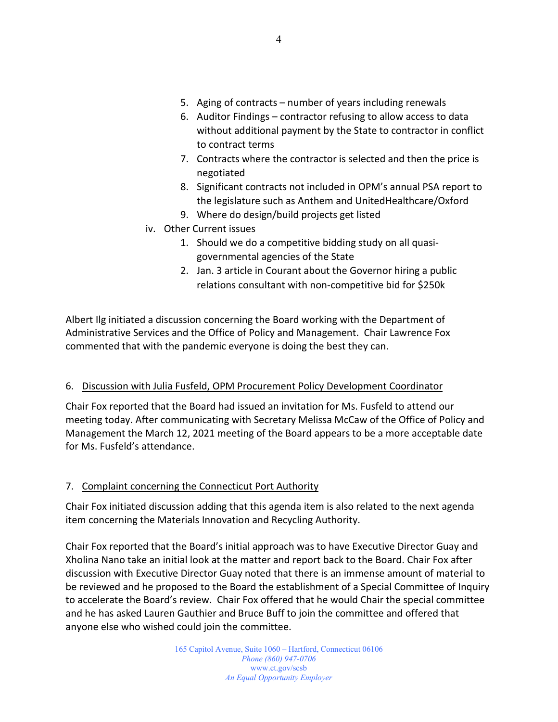- 5. Aging of contracts number of years including renewals
- 6. Auditor Findings contractor refusing to allow access to data without additional payment by the State to contractor in conflict to contract terms
- 7. Contracts where the contractor is selected and then the price is negotiated
- 8. Significant contracts not included in OPM's annual PSA report to the legislature such as Anthem and UnitedHealthcare/Oxford
- 9. Where do design/build projects get listed
- iv. Other Current issues
	- 1. Should we do a competitive bidding study on all quasigovernmental agencies of the State
	- 2. Jan. 3 article in Courant about the Governor hiring a public relations consultant with non-competitive bid for \$250k

Albert Ilg initiated a discussion concerning the Board working with the Department of Administrative Services and the Office of Policy and Management. Chair Lawrence Fox commented that with the pandemic everyone is doing the best they can.

#### 6. Discussion with Julia Fusfeld, OPM Procurement Policy Development Coordinator

Chair Fox reported that the Board had issued an invitation for Ms. Fusfeld to attend our meeting today. After communicating with Secretary Melissa McCaw of the Office of Policy and Management the March 12, 2021 meeting of the Board appears to be a more acceptable date for Ms. Fusfeld's attendance.

#### 7. Complaint concerning the Connecticut Port Authority

Chair Fox initiated discussion adding that this agenda item is also related to the next agenda item concerning the Materials Innovation and Recycling Authority.

Chair Fox reported that the Board's initial approach was to have Executive Director Guay and Xholina Nano take an initial look at the matter and report back to the Board. Chair Fox after discussion with Executive Director Guay noted that there is an immense amount of material to be reviewed and he proposed to the Board the establishment of a Special Committee of Inquiry to accelerate the Board's review. Chair Fox offered that he would Chair the special committee and he has asked Lauren Gauthier and Bruce Buff to join the committee and offered that anyone else who wished could join the committee.